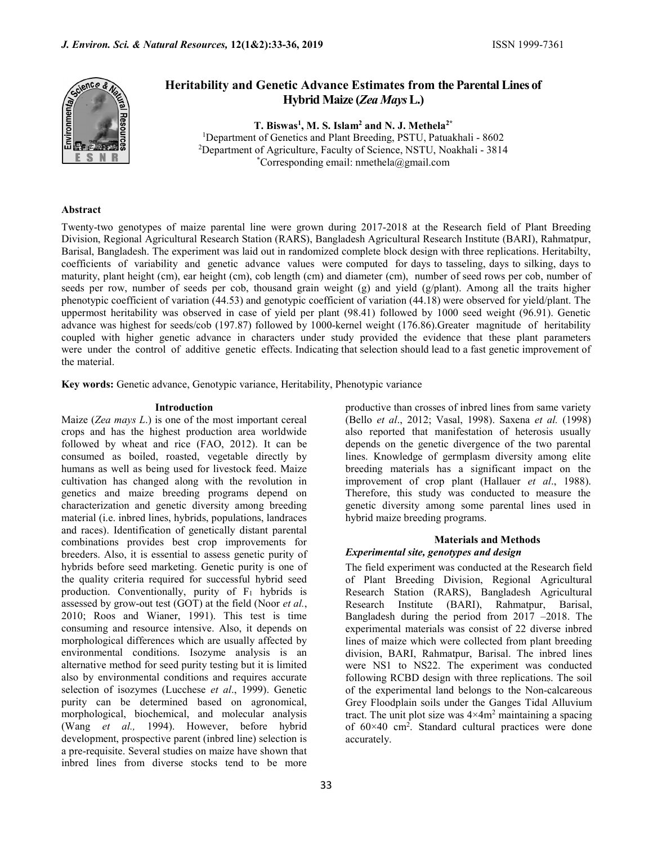

# Heritability and Genetic Advance Estimates from the Parental Lines of Hybrid Maize (Zea Mays L.)

T. Biswas<sup>1</sup>, M. S. Islam<sup>2</sup> and N. J. Methela<sup>2\*</sup> <sup>1</sup>Department of Genetics and Plant Breeding, PSTU, Patuakhali - 8602 <sup>2</sup>Department of Agriculture, Faculty of Science, NSTU, Noakhali - 3814 \*Corresponding email: nmethela@gmail.com

# Abstract

Twenty-two genotypes of maize parental line were grown during 2017-2018 at the Research field of Plant Breeding Division, Regional Agricultural Research Station (RARS), Bangladesh Agricultural Research Institute (BARI), Rahmatpur, Barisal, Bangladesh. The experiment was laid out in randomized complete block design with three replications. Heritabilty, coefficients of variability and genetic advance values were computed for days to tasseling, days to silking, days to maturity, plant height (cm), ear height (cm), cob length (cm) and diameter (cm), number of seed rows per cob, number of seeds per row, number of seeds per cob, thousand grain weight (g) and yield (g/plant). Among all the traits higher phenotypic coefficient of variation (44.53) and genotypic coefficient of variation (44.18) were observed for yield/plant. The uppermost heritability was observed in case of yield per plant (98.41) followed by 1000 seed weight (96.91). Genetic advance was highest for seeds/cob (197.87) followed by 1000-kernel weight (176.86).Greater magnitude of heritability coupled with higher genetic advance in characters under study provided the evidence that these plant parameters were under the control of additive genetic effects. Indicating that selection should lead to a fast genetic improvement of the material.

Key words: Genetic advance, Genotypic variance, Heritability, Phenotypic variance

#### Introduction

Maize (Zea mays  $L$ .) is one of the most important cereal crops and has the highest production area worldwide followed by wheat and rice (FAO, 2012). It can be consumed as boiled, roasted, vegetable directly by humans as well as being used for livestock feed. Maize cultivation has changed along with the revolution in genetics and maize breeding programs depend on characterization and genetic diversity among breeding material (i.e. inbred lines, hybrids, populations, landraces and races). Identification of genetically distant parental combinations provides best crop improvements for breeders. Also, it is essential to assess genetic purity of hybrids before seed marketing. Genetic purity is one of the quality criteria required for successful hybrid seed production. Conventionally, purity of  $F_1$  hybrids is assessed by grow-out test (GOT) at the field (Noor et al., 2010; Roos and Wianer, 1991). This test is time consuming and resource intensive. Also, it depends on morphological differences which are usually affected by environmental conditions. Isozyme analysis is an alternative method for seed purity testing but it is limited also by environmental conditions and requires accurate selection of isozymes (Lucchese et al., 1999). Genetic purity can be determined based on agronomical, morphological, biochemical, and molecular analysis (Wang et al., 1994). However, before hybrid development, prospective parent (inbred line) selection is a pre-requisite. Several studies on maize have shown that inbred lines from diverse stocks tend to be more

productive than crosses of inbred lines from same variety (Bello et al., 2012; Vasal, 1998). Saxena et al. (1998) also reported that manifestation of heterosis usually depends on the genetic divergence of the two parental lines. Knowledge of germplasm diversity among elite breeding materials has a significant impact on the improvement of crop plant (Hallauer et al., 1988). Therefore, this study was conducted to measure the genetic diversity among some parental lines used in hybrid maize breeding programs.

# Materials and Methods

# Experimental site, genotypes and design

The field experiment was conducted at the Research field of Plant Breeding Division, Regional Agricultural Research Station (RARS), Bangladesh Agricultural Research Institute (BARI), Rahmatpur, Barisal, Bangladesh during the period from 2017 –2018. The experimental materials was consist of 22 diverse inbred lines of maize which were collected from plant breeding division, BARI, Rahmatpur, Barisal. The inbred lines were NS1 to NS22. The experiment was conducted following RCBD design with three replications. The soil of the experimental land belongs to the Non-calcareous Grey Floodplain soils under the Ganges Tidal Alluvium tract. The unit plot size was  $4 \times 4m^2$  maintaining a spacing of 60×40 cm<sup>2</sup> . Standard cultural practices were done accurately.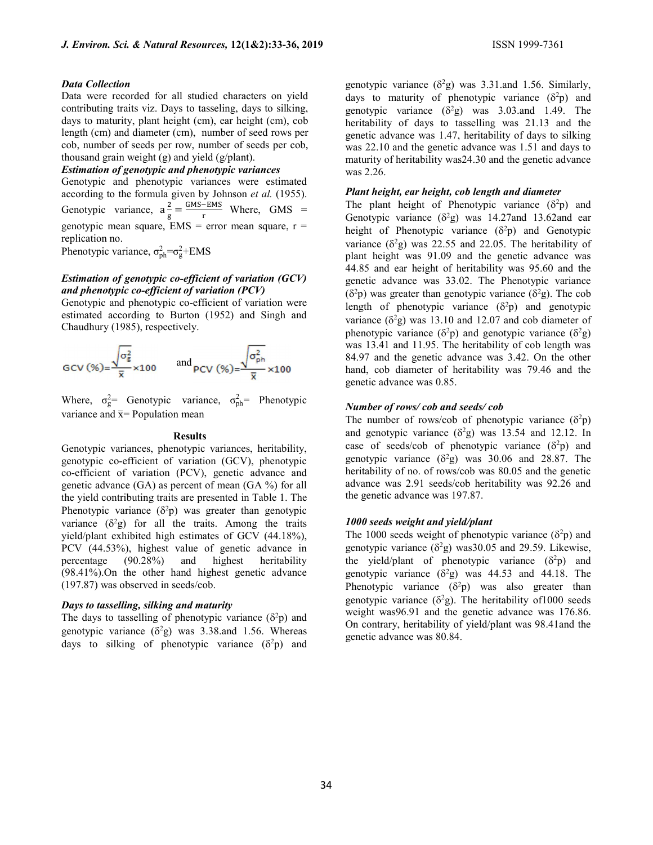#### Data Collection

Data were recorded for all studied characters on yield contributing traits viz. Days to tasseling, days to silking, days to maturity, plant height (cm), ear height (cm), cob length (cm) and diameter (cm), number of seed rows per cob, number of seeds per row, number of seeds per cob, thousand grain weight (g) and yield (g/plant).

## Estimation of genotypic and phenotypic variances

Genotypic and phenotypic variances were estimated according to the formula given by Johnson et al. (1955). Genotypic variance,  $a^2$  $\frac{2}{g} = \frac{GMS-EMS}{r}$  $\frac{v_{\text{EMS}}}{r}$  Where, GMS = genotypic mean square,  $EMS = error$  mean square,  $r =$ replication no.

Phenotypic variance,  $\sigma_{ph}^2 = \sigma_g^2 + \text{EMS}$ 

## Estimation of genotypic co-efficient of variation (GCV) and phenotypic co-efficient of variation (PCV)

Genotypic and phenotypic co-efficient of variation were estimated according to Burton (1952) and Singh and Chaudhury (1985), respectively.

$$
\text{GCV}(\%) = \frac{\sqrt{\sigma_{\rm g}^2}}{\bar{x}} \times 100 \quad \text{and} \quad \text{PCV}(\%) = \frac{\sqrt{\sigma_{\rm ph}^2}}{\bar{x}} \times 100
$$

Where,  $\sigma_{g}^{2}$  Genotypic variance,  $\sigma_{ph}^{2}$  Phenotypic variance and  $\bar{x}$ = Population mean

#### **Results**

Genotypic variances, phenotypic variances, heritability, genotypic co-efficient of variation (GCV), phenotypic co-efficient of variation (PCV), genetic advance and genetic advance (GA) as percent of mean (GA %) for all the yield contributing traits are presented in Table 1. The Phenotypic variance  $(\delta^2 p)$  was greater than genotypic variance  $(\delta^2 g)$  for all the traits. Among the traits yield/plant exhibited high estimates of GCV (44.18%), PCV (44.53%), highest value of genetic advance in percentage (90.28%) and highest heritability (98.41%).On the other hand highest genetic advance (197.87) was observed in seeds/cob.

#### Days to tasselling, silking and maturity

The days to tasselling of phenotypic variance  $(\delta^2 p)$  and genotypic variance  $(\delta^2 g)$  was 3.38.and 1.56. Whereas days to silking of phenotypic variance  $(\delta^2 p)$  and genotypic variance  $(\delta^2 g)$  was 3.31.and 1.56. Similarly, days to maturity of phenotypic variance  $(\delta^2 p)$  and genotypic variance  $(\delta^2 g)$  was 3.03.and 1.49. The heritability of days to tasselling was 21.13 and the genetic advance was 1.47, heritability of days to silking was 22.10 and the genetic advance was 1.51 and days to maturity of heritability was24.30 and the genetic advance was 2.26.

#### Plant height, ear height, cob length and diameter

The plant height of Phenotypic variance  $(\delta^2 p)$  and Genotypic variance  $(\delta^2 g)$  was 14.27and 13.62and ear height of Phenotypic variance  $(\delta^2 p)$  and Genotypic variance  $(\delta^2 g)$  was 22.55 and 22.05. The heritability of plant height was 91.09 and the genetic advance was 44.85 and ear height of heritability was 95.60 and the genetic advance was 33.02. The Phenotypic variance  $(\delta^2 p)$  was greater than genotypic variance  $(\delta^2 g)$ . The cob length of phenotypic variance  $(\delta^2 p)$  and genotypic variance  $(\delta^2 g)$  was 13.10 and 12.07 and cob diameter of phenotypic variance  $(\delta^2 p)$  and genotypic variance  $(\delta^2 g)$ was 13.41 and 11.95. The heritability of cob length was 84.97 and the genetic advance was 3.42. On the other hand, cob diameter of heritability was 79.46 and the genetic advance was 0.85.

#### Number of rows/ cob and seeds/ cob

The number of rows/cob of phenotypic variance  $(\delta^2 p)$ and genotypic variance  $(\delta^2 g)$  was 13.54 and 12.12. In case of seeds/cob of phenotypic variance  $(\delta^2 p)$  and genotypic variance  $(\delta^2 g)$  was 30.06 and 28.87. The heritability of no. of rows/cob was 80.05 and the genetic advance was 2.91 seeds/cob heritability was 92.26 and the genetic advance was 197.87.

# 1000 seeds weight and yield/plant

The 1000 seeds weight of phenotypic variance  $(\delta^2 p)$  and genotypic variance  $(\delta^2 g)$  was 30.05 and 29.59. Likewise, the yield/plant of phenotypic variance  $(\delta^2 p)$  and genotypic variance  $(\delta^2 g)$  was 44.53 and 44.18. The Phenotypic variance  $(\delta^2 p)$  was also greater than genotypic variance ( $\delta^2$ g). The heritability of 1000 seeds weight was96.91 and the genetic advance was 176.86. On contrary, heritability of yield/plant was 98.41and the genetic advance was 80.84.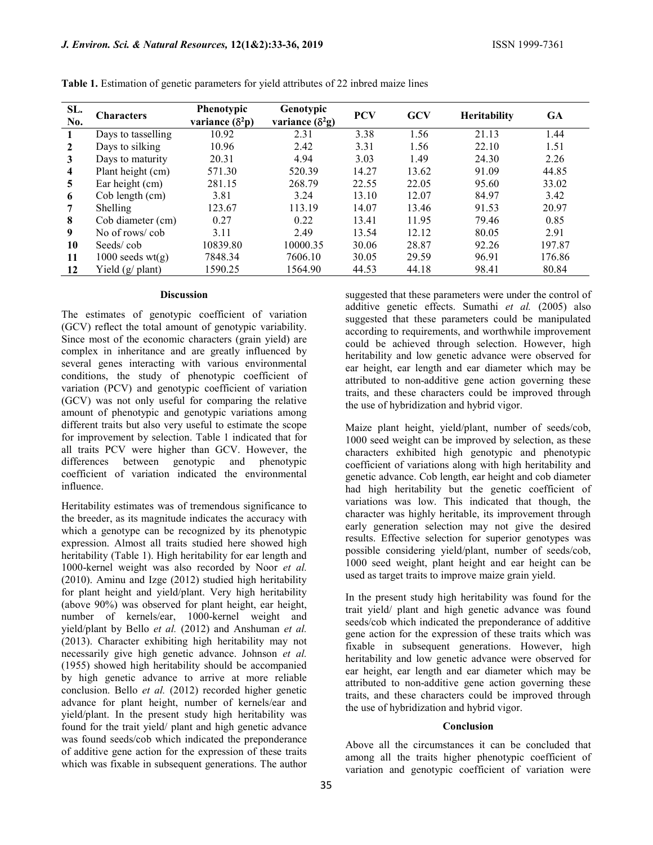| SL.<br>No.     | <b>Characters</b>  | Phenotypic<br>variance $(\delta^2 p)$ | Genotypic<br>variance $(\delta^2 g)$ | <b>PCV</b> | <b>GCV</b> | <b>Heritability</b> | <b>GA</b> |
|----------------|--------------------|---------------------------------------|--------------------------------------|------------|------------|---------------------|-----------|
| $\mathbf{1}$   | Days to tasselling | 10.92                                 | 2.31                                 | 3.38       | 1.56       | 21.13               | 1.44      |
| $\mathbf{2}$   | Days to silking    | 10.96                                 | 2.42                                 | 3.31       | 1.56       | 22.10               | 1.51      |
| $\mathbf{3}$   | Days to maturity   | 20.31                                 | 4.94                                 | 3.03       | 1.49       | 24.30               | 2.26      |
| $\overline{4}$ | Plant height (cm)  | 571.30                                | 520.39                               | 14.27      | 13.62      | 91.09               | 44.85     |
| $\overline{5}$ | Ear height (cm)    | 281.15                                | 268.79                               | 22.55      | 22.05      | 95.60               | 33.02     |
| 6              | Cob length (cm)    | 3.81                                  | 3.24                                 | 13.10      | 12.07      | 84.97               | 3.42      |
| 7              | Shelling           | 123.67                                | 113.19                               | 14.07      | 13.46      | 91.53               | 20.97     |
| 8              | Cob diameter (cm)  | 0.27                                  | 0.22                                 | 13.41      | 11.95      | 79.46               | 0.85      |
| 9              | No of rows/cob     | 3.11                                  | 2.49                                 | 13.54      | 12.12      | 80.05               | 2.91      |
| 10             | Seeds/cob          | 10839.80                              | 10000.35                             | 30.06      | 28.87      | 92.26               | 197.87    |
| 11             | $1000$ seeds wt(g) | 7848.34                               | 7606.10                              | 30.05      | 29.59      | 96.91               | 176.86    |
| 12             | Yield (g/ plant)   | 1590.25                               | 1564.90                              | 44.53      | 44.18      | 98.41               | 80.84     |

Table 1. Estimation of genetic parameters for yield attributes of 22 inbred maize lines

#### Discussion

The estimates of genotypic coefficient of variation (GCV) reflect the total amount of genotypic variability. Since most of the economic characters (grain yield) are complex in inheritance and are greatly influenced by several genes interacting with various environmental conditions, the study of phenotypic coefficient of variation (PCV) and genotypic coefficient of variation (GCV) was not only useful for comparing the relative amount of phenotypic and genotypic variations among different traits but also very useful to estimate the scope for improvement by selection. Table 1 indicated that for all traits PCV were higher than GCV. However, the differences between genotypic and phenotypic coefficient of variation indicated the environmental influence.

Heritability estimates was of tremendous significance to the breeder, as its magnitude indicates the accuracy with which a genotype can be recognized by its phenotypic expression. Almost all traits studied here showed high heritability (Table 1). High heritability for ear length and 1000-kernel weight was also recorded by Noor et al. (2010). Aminu and Izge (2012) studied high heritability for plant height and yield/plant. Very high heritability (above 90%) was observed for plant height, ear height, number of kernels/ear, 1000-kernel weight and yield/plant by Bello et al. (2012) and Anshuman et al. (2013). Character exhibiting high heritability may not necessarily give high genetic advance. Johnson et al. (1955) showed high heritability should be accompanied by high genetic advance to arrive at more reliable conclusion. Bello et al. (2012) recorded higher genetic advance for plant height, number of kernels/ear and yield/plant. In the present study high heritability was found for the trait yield/ plant and high genetic advance was found seeds/cob which indicated the preponderance of additive gene action for the expression of these traits which was fixable in subsequent generations. The author

suggested that these parameters were under the control of additive genetic effects. Sumathi et al. (2005) also suggested that these parameters could be manipulated according to requirements, and worthwhile improvement could be achieved through selection. However, high heritability and low genetic advance were observed for ear height, ear length and ear diameter which may be attributed to non-additive gene action governing these traits, and these characters could be improved through the use of hybridization and hybrid vigor.

Maize plant height, yield/plant, number of seeds/cob, 1000 seed weight can be improved by selection, as these characters exhibited high genotypic and phenotypic coefficient of variations along with high heritability and genetic advance. Cob length, ear height and cob diameter had high heritability but the genetic coefficient of variations was low. This indicated that though, the character was highly heritable, its improvement through early generation selection may not give the desired results. Effective selection for superior genotypes was possible considering yield/plant, number of seeds/cob, 1000 seed weight, plant height and ear height can be used as target traits to improve maize grain yield.

In the present study high heritability was found for the trait yield/ plant and high genetic advance was found seeds/cob which indicated the preponderance of additive gene action for the expression of these traits which was fixable in subsequent generations. However, high heritability and low genetic advance were observed for ear height, ear length and ear diameter which may be attributed to non-additive gene action governing these traits, and these characters could be improved through the use of hybridization and hybrid vigor.

#### Conclusion

Above all the circumstances it can be concluded that among all the traits higher phenotypic coefficient of variation and genotypic coefficient of variation were